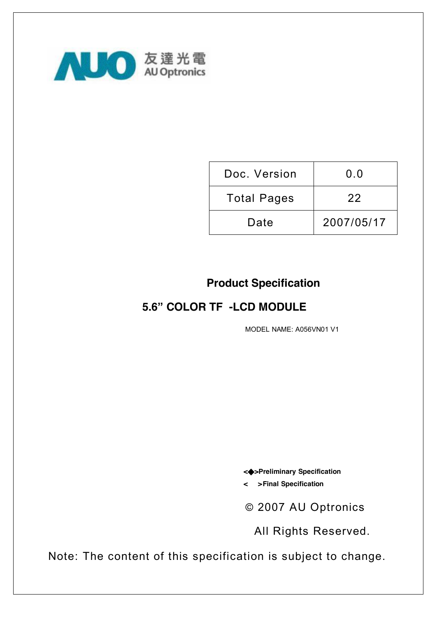

| Doc. Version       | 0.0        |
|--------------------|------------|
| <b>Total Pages</b> | 22         |
| Date               | 2007/05/17 |

## **Product Specification**

## **5.6" COLOR TF -LCD MODULE**

MODEL NAME: A056VN01 V1

**<◆>Preliminary Specification** 

**< >Final Specification** 

© 2007 AU Optronics

All Rights Reserved.

 Note: The content of this specification is subject to change.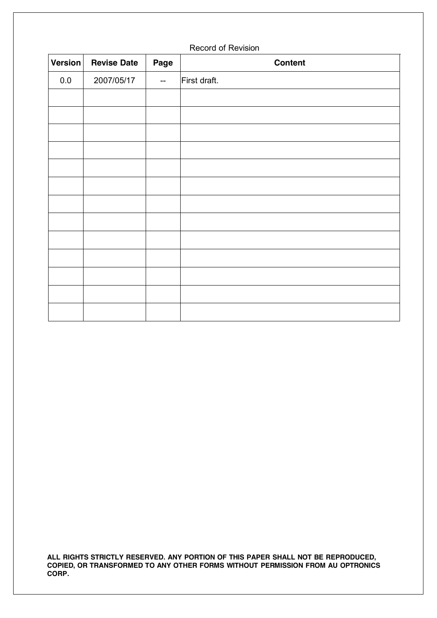| <b>Version</b> | <b>Revise Date</b> | Page                     | <b>Content</b> |
|----------------|--------------------|--------------------------|----------------|
| $0.0\,$        | 2007/05/17         | $\overline{\phantom{m}}$ | First draft.   |
|                |                    |                          |                |
|                |                    |                          |                |
|                |                    |                          |                |
|                |                    |                          |                |
|                |                    |                          |                |
|                |                    |                          |                |
|                |                    |                          |                |
|                |                    |                          |                |
|                |                    |                          |                |
|                |                    |                          |                |
|                |                    |                          |                |
|                |                    |                          |                |
|                |                    |                          |                |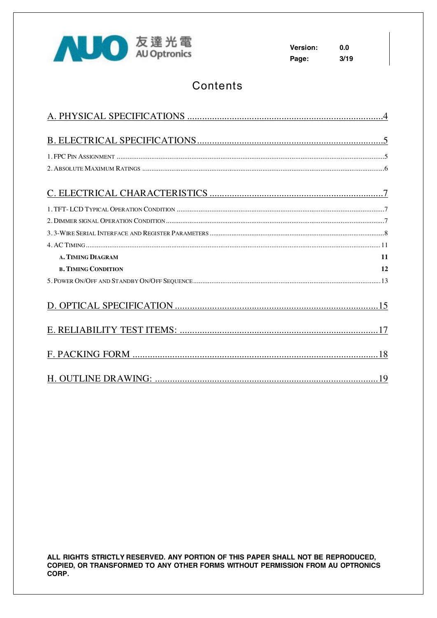

 $0.0$ **Version:**  $3/19$ Page:

## Contents

| 11<br>A. TIMING DIAGRAM          |
|----------------------------------|
| 12<br><b>B. TIMING CONDITION</b> |
|                                  |
|                                  |
|                                  |
|                                  |
|                                  |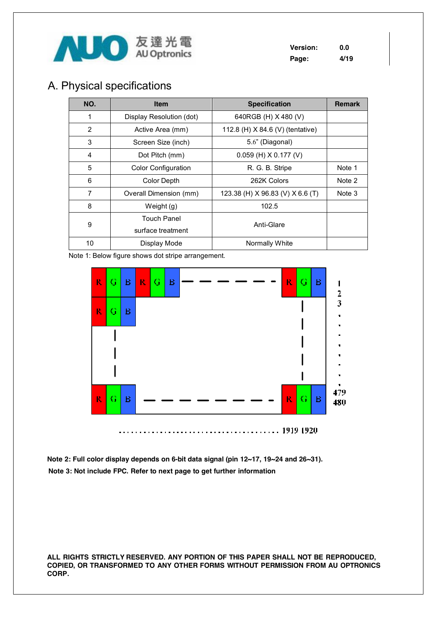

## A. Physical specifications

| NO.            | <b>Item</b>                | <b>Specification</b>             | <b>Remark</b> |
|----------------|----------------------------|----------------------------------|---------------|
| 1              | Display Resolution (dot)   | 640RGB (H) X 480 (V)             |               |
| 2              | Active Area (mm)           | 112.8 (H) X 84.6 (V) (tentative) |               |
| 3              | Screen Size (inch)         | 5.6" (Diagonal)                  |               |
| 4              | Dot Pitch (mm)             | $0.059$ (H) X 0.177 (V)          |               |
| 5              | <b>Color Configuration</b> | R. G. B. Stripe                  | Note 1        |
| 6              | Color Depth                | 262K Colors                      | Note 2        |
| $\overline{7}$ | Overall Dimension (mm)     | 123.38 (H) X 96.83 (V) X 6.6 (T) | Note 3        |
| 8              | Weight (g)                 | 102.5                            |               |
| 9              | <b>Touch Panel</b>         | Anti-Glare                       |               |
|                | surface treatment          |                                  |               |
| 10             | Display Mode               | Normally White                   |               |

Note 1: Below figure shows dot stripe arrangement.



Note 2: Full color display depends on 6-bit data signal (pin 12~17, 19~24 and 26~31). Note 3: Not include FPC. Refer to next page to get further information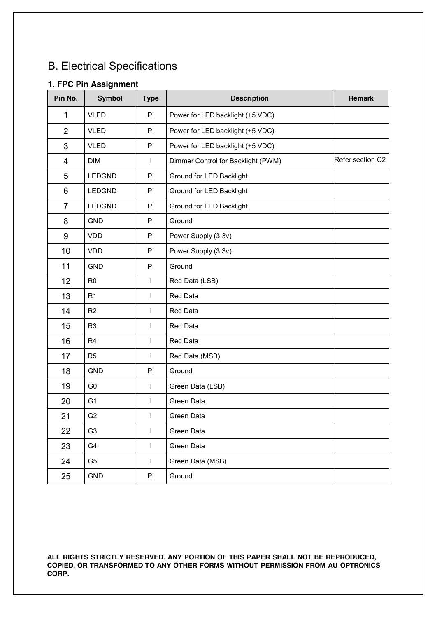# B. Electrical Specifications

## **1. FPC Pin Assignment**

| Pin No.        | <b>Symbol</b>  | <b>Type</b>  | <b>Description</b>                 | Remark           |
|----------------|----------------|--------------|------------------------------------|------------------|
| 1              | <b>VLED</b>    | PI           | Power for LED backlight (+5 VDC)   |                  |
| $\overline{2}$ | <b>VLED</b>    | PI           | Power for LED backlight (+5 VDC)   |                  |
| 3              | <b>VLED</b>    | PI           | Power for LED backlight (+5 VDC)   |                  |
| 4              | <b>DIM</b>     | $\mathbf{I}$ | Dimmer Control for Backlight (PWM) | Refer section C2 |
| 5              | <b>LEDGND</b>  | PI           | Ground for LED Backlight           |                  |
| 6              | <b>LEDGND</b>  | PI           | Ground for LED Backlight           |                  |
| $\overline{7}$ | <b>LEDGND</b>  | PI           | Ground for LED Backlight           |                  |
| 8              | <b>GND</b>     | PI           | Ground                             |                  |
| 9              | <b>VDD</b>     | PI           | Power Supply (3.3v)                |                  |
| 10             | <b>VDD</b>     | PI           | Power Supply (3.3v)                |                  |
| 11             | <b>GND</b>     | PI           | Ground                             |                  |
| 12             | R <sub>0</sub> | L            | Red Data (LSB)                     |                  |
| 13             | R <sub>1</sub> | T            | <b>Red Data</b>                    |                  |
| 14             | R <sub>2</sub> | L            | Red Data                           |                  |
| 15             | R <sub>3</sub> | $\mathsf{I}$ | Red Data                           |                  |
| 16             | R <sub>4</sub> | L            | Red Data                           |                  |
| 17             | R <sub>5</sub> | L            | Red Data (MSB)                     |                  |
| 18             | <b>GND</b>     | PI           | Ground                             |                  |
| 19             | G <sub>0</sub> | L            | Green Data (LSB)                   |                  |
| 20             | G <sub>1</sub> | L            | Green Data                         |                  |
| 21             | G <sub>2</sub> | L            | Green Data                         |                  |
| 22             | G <sub>3</sub> | L            | Green Data                         |                  |
| 23             | G4             | L            | Green Data                         |                  |
| 24             | G <sub>5</sub> | T            | Green Data (MSB)                   |                  |
| 25             | <b>GND</b>     | PI           | Ground                             |                  |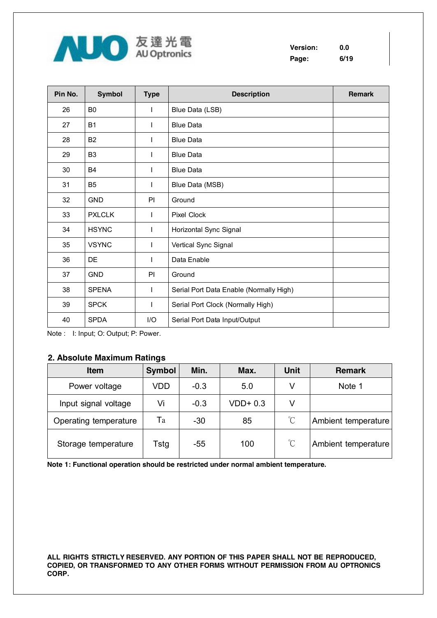

**Version: 0.0 Page: 6/19** 

| Pin No. | <b>Symbol</b>  | <b>Type</b>  | <b>Description</b>                      | <b>Remark</b> |
|---------|----------------|--------------|-----------------------------------------|---------------|
| 26      | B <sub>0</sub> | $\mathbf{I}$ | Blue Data (LSB)                         |               |
| 27      | <b>B1</b>      | $\mathbf{I}$ | <b>Blue Data</b>                        |               |
| 28      | B <sub>2</sub> |              | <b>Blue Data</b>                        |               |
| 29      | B <sub>3</sub> | $\mathbf{I}$ | <b>Blue Data</b>                        |               |
| 30      | <b>B4</b>      | $\mathbf{I}$ | <b>Blue Data</b>                        |               |
| 31      | B <sub>5</sub> | $\mathbf{I}$ | Blue Data (MSB)                         |               |
| 32      | <b>GND</b>     | PI           | Ground                                  |               |
| 33      | <b>PXLCLK</b>  | $\mathbf{I}$ | <b>Pixel Clock</b>                      |               |
| 34      | <b>HSYNC</b>   | $\mathbf{I}$ | Horizontal Sync Signal                  |               |
| 35      | <b>VSYNC</b>   | L            | Vertical Sync Signal                    |               |
| 36      | DE             | $\mathbf{I}$ | Data Enable                             |               |
| 37      | <b>GND</b>     | PI           | Ground                                  |               |
| 38      | <b>SPENA</b>   | $\mathbf{I}$ | Serial Port Data Enable (Normally High) |               |
| 39      | <b>SPCK</b>    | $\mathbf{I}$ | Serial Port Clock (Normally High)       |               |
| 40      | <b>SPDA</b>    | I/O          | Serial Port Data Input/Output           |               |

Note : I: Input; O: Output; P: Power.

### **2. Absolute Maximum Ratings**

| <b>Item</b>           | <b>Symbol</b> | Min.   | Max.      | <b>Unit</b>          | <b>Remark</b>       |
|-----------------------|---------------|--------|-----------|----------------------|---------------------|
| Power voltage         | VDD           | $-0.3$ | 5.0       | V                    | Note 1              |
| Input signal voltage  | Vi            | $-0.3$ | $VDD+0.3$ | V                    |                     |
| Operating temperature | Ta            | $-30$  | 85        | $\mathrm{C}$         | Ambient temperature |
| Storage temperature   | Tstg          | -55    | 100       | $\mathrm{C}^{\circ}$ | Ambient temperature |

**Note 1: Functional operation should be restricted under normal ambient temperature.**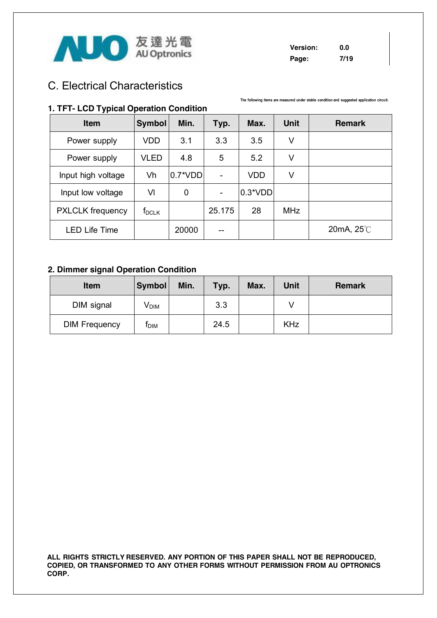

### **Version: 0.0 Page: 7/19**

**The following items are measured under stable condition and suggested application circuit.** 

## C. Electrical Characteristics

### **1. TFT- LCD Typical Operation Condition**

| <b>Item</b>             | <b>Symbol</b> | Min.       | Typ.                     | Max.       | <b>Unit</b> | <b>Remark</b> |
|-------------------------|---------------|------------|--------------------------|------------|-------------|---------------|
| Power supply            | VDD           | 3.1        | 3.3                      | 3.5        | ٧           |               |
| Power supply            | <b>VLED</b>   | 4.8        | 5                        | 5.2        | ٧           |               |
| Input high voltage      | Vh            | $0.7^*VDD$ |                          | <b>VDD</b> | ٧           |               |
| Input low voltage       | VI            | 0          | $\overline{\phantom{0}}$ | $0.3*VDD$  |             |               |
| <b>PXLCLK</b> frequency | $f_{DCLK}$    |            | 25.175                   | 28         | <b>MHz</b>  |               |
| <b>LED Life Time</b>    |               | 20000      | --                       |            |             | 20mA, 25℃     |

### **2. Dimmer signal Operation Condition**

| <b>Item</b>          | <b>Symbol</b>    | Min. | Typ. | Max. | <b>Unit</b> | <b>Remark</b> |
|----------------------|------------------|------|------|------|-------------|---------------|
| DIM signal           | V <sub>DIM</sub> |      | 3.3  |      |             |               |
| <b>DIM Frequency</b> | τым              |      | 24.5 |      | <b>KHz</b>  |               |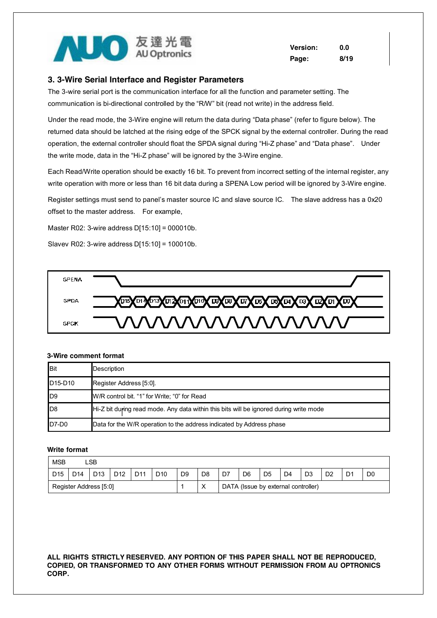

**Version: 0.0 Page: 8/19** 

#### **3. 3-Wire Serial Interface and Register Parameters**

The 3-wire serial port is the communication interface for all the function and parameter setting. The communication is bi-directional controlled by the "R/W" bit (read not write) in the address field.

Under the read mode, the 3-Wire engine will return the data during "Data phase" (refer to figure below). The returned data should be latched at the rising edge of the SPCK signal by the external controller. During the read operation, the external controller should float the SPDA signal during "Hi-Z phase" and "Data phase". Under the write mode, data in the "Hi-Z phase" will be ignored by the 3-Wire engine.

Each Read/Write operation should be exactly 16 bit. To prevent from incorrect setting of the internal register, any write operation with more or less than 16 bit data during a SPENA Low period will be ignored by 3-Wire engine.

Register settings must send to panel's master source IC and slave source IC. The slave address has a 0x20 offset to the master address. For example,

Master R02: 3-wire address D[15:10] = 000010b.

Slavev R02: 3-wire address D[15:10] = 100010b.



#### **3-Wire comment format**

| <b>Bit</b>                       | Description                                                                            |
|----------------------------------|----------------------------------------------------------------------------------------|
| D <sub>15</sub> -D <sub>10</sub> | Register Address [5:0].                                                                |
| ID9                              | W/R control bit. "1" for Write; "0" for Read                                           |
| ID8                              | Hi-Z bit during read mode. Any data within this bits will be ignored during write mode |
| $D7-D0$                          | Data for the W/R operation to the address indicated by Address phase                   |

#### **Write format**

| <b>MSB</b>             |                 | LSB             |                 |                 |                 |                |                |    |                |                                     |                |                |    |                |                |
|------------------------|-----------------|-----------------|-----------------|-----------------|-----------------|----------------|----------------|----|----------------|-------------------------------------|----------------|----------------|----|----------------|----------------|
| D <sub>15</sub>        | D <sub>14</sub> | D <sub>13</sub> | D <sub>12</sub> | D <sub>11</sub> | D <sub>10</sub> | D <sub>9</sub> | D <sub>8</sub> | D7 | D <sub>6</sub> | D <sub>5</sub>                      | D <sub>4</sub> | D <sub>3</sub> | D2 | D <sub>1</sub> | D <sub>0</sub> |
| Register Address [5:0] |                 |                 |                 |                 |                 |                | $\checkmark$   |    |                | DATA (Issue by external controller) |                |                |    |                |                |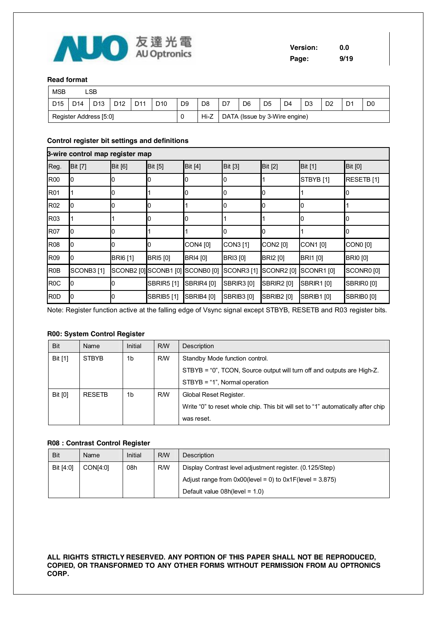

#### **Read format**

| <b>MSB</b>      |                        | ∟SB             |                 |                 |                 |                |                |    |                               |                |                |                |                |                |                |
|-----------------|------------------------|-----------------|-----------------|-----------------|-----------------|----------------|----------------|----|-------------------------------|----------------|----------------|----------------|----------------|----------------|----------------|
| D <sub>15</sub> | D <sub>14</sub>        | D <sub>13</sub> | D <sub>12</sub> | D <sub>11</sub> | D <sub>10</sub> | D <sub>9</sub> | D <sub>8</sub> | D7 | D <sub>6</sub>                | D <sub>5</sub> | D <sub>4</sub> | D <sub>3</sub> | D <sub>2</sub> | D <sub>1</sub> | D <sub>0</sub> |
|                 | Register Address [5:0] |                 |                 |                 |                 |                | Hi-Z           |    | DATA (Issue by 3-Wire engine) |                |                |                |                |                |                |

#### Control register bit settings and definitions

|                                            |                                  |                                                                                                |                                                                        |                                | $\sim$ $\approx$ $\sim$ $\approx$                                                                              | <b>AU Optronics</b> |                                  |                   |                 |                               |                       | Version:<br>Page: |                      | 0.0<br>9/19       |                 |                       |  |
|--------------------------------------------|----------------------------------|------------------------------------------------------------------------------------------------|------------------------------------------------------------------------|--------------------------------|----------------------------------------------------------------------------------------------------------------|---------------------|----------------------------------|-------------------|-----------------|-------------------------------|-----------------------|-------------------|----------------------|-------------------|-----------------|-----------------------|--|
|                                            | <b>Read format</b>               |                                                                                                |                                                                        |                                |                                                                                                                |                     |                                  |                   |                 |                               |                       |                   |                      |                   |                 |                       |  |
| <b>MSB</b>                                 |                                  | <b>LSB</b>                                                                                     |                                                                        |                                |                                                                                                                |                     |                                  |                   |                 |                               |                       |                   |                      |                   |                 |                       |  |
| D <sub>15</sub>                            | D <sub>14</sub>                  | D <sub>13</sub>                                                                                | D <sub>12</sub>                                                        | D11                            | D <sub>10</sub>                                                                                                | D <sub>9</sub>      |                                  | D <sub>8</sub>    | D7              | D <sub>6</sub>                | D <sub>5</sub>        | D <sub>4</sub>    | D <sub>3</sub>       | D <sub>2</sub>    | D <sub>1</sub>  | D <sub>0</sub>        |  |
|                                            |                                  | Register Address [5:0]                                                                         |                                                                        |                                |                                                                                                                | 0                   |                                  | Hi-Z              |                 | DATA (Issue by 3-Wire engine) |                       |                   |                      |                   |                 |                       |  |
|                                            |                                  |                                                                                                |                                                                        |                                | Control register bit settings and definitions                                                                  |                     |                                  |                   |                 |                               |                       |                   |                      |                   |                 |                       |  |
|                                            |                                  | 3-wire control map register map                                                                |                                                                        |                                |                                                                                                                |                     |                                  |                   |                 |                               |                       |                   |                      |                   |                 |                       |  |
| Reg.                                       | <b>Bit [7]</b>                   |                                                                                                | <b>Bit [6]</b>                                                         |                                | Bit [5]                                                                                                        |                     | <b>Bit [4]</b>                   |                   | Bit [3]         |                               | <b>Bit [2]</b>        |                   | <b>Bit [1]</b>       |                   | <b>Bit [0]</b>  |                       |  |
| <b>R00</b>                                 | 0                                |                                                                                                | 0                                                                      |                                | 0                                                                                                              | 0                   |                                  |                   | 0               |                               | 1                     |                   | STBYB <sub>[1]</sub> |                   |                 | RESETB [1]            |  |
| R01                                        | 1                                |                                                                                                | 0                                                                      |                                | 1                                                                                                              | 0                   |                                  |                   | 0               |                               | 0                     |                   | 1                    |                   | 0               |                       |  |
| R <sub>02</sub>                            | 0                                |                                                                                                | 0                                                                      | 0                              |                                                                                                                | 1                   |                                  |                   | 0               |                               | 0                     |                   | 0                    |                   | 1               |                       |  |
| R <sub>03</sub>                            | 1                                |                                                                                                | 1                                                                      |                                | 0                                                                                                              | 0                   |                                  |                   | 1               |                               | $\mathbf{1}$          |                   | 0                    |                   | 0               |                       |  |
| <b>R07</b>                                 | 0                                |                                                                                                | 0                                                                      |                                | 1                                                                                                              | 1                   |                                  |                   | 0               |                               | 0                     |                   | 1                    |                   | 0               |                       |  |
| R08                                        | 0                                |                                                                                                | 0                                                                      |                                | 0                                                                                                              |                     | CON4 [0]                         |                   | CON3 [1]        |                               | CON2 [0]              |                   | CON1 [0]             |                   | CON0 [0]        |                       |  |
| R09                                        | 0                                |                                                                                                | <b>BRI6</b> [1]                                                        |                                | <b>BRI5</b> [0]                                                                                                |                     | <b>BRI4</b> [0]                  |                   | <b>BRI3</b> [0] |                               | <b>BRI2</b> [0]       |                   | <b>BRI1</b> [0]      |                   | <b>BRIO</b> [0] |                       |  |
| R <sub>0</sub> B                           |                                  | SCONB3[1]                                                                                      |                                                                        |                                |                                                                                                                |                     | SCONB2 [0] SCONB1 [0] SCONB0 [0] |                   |                 | <b>SCONR3</b> [1]             | SCONR2 <sup>[0]</sup> |                   | SCONR1[0]            |                   |                 | SCONR0 <sup>[0]</sup> |  |
| R <sub>0</sub> C                           | 0                                |                                                                                                | 0                                                                      |                                | <b>SBRIR5</b> [1]                                                                                              | <b>SBRIR4</b> [0]   |                                  |                   |                 | <b>SBRIR3</b> [0]             | <b>SBRIR2</b> [0]     |                   | <b>SBRIR1</b> [0]    |                   |                 | SBRIR0 [0]            |  |
| R <sub>0</sub> D                           | 0                                |                                                                                                | O                                                                      |                                | <b>SBRIB5</b> [1]                                                                                              | <b>SBRIB4 [0]</b>   |                                  | <b>SBRIB3</b> [0] |                 | <b>SBRIB2</b> [0]             |                       | <b>SBRIB1</b> [0] |                      | <b>SBRIB0 [0]</b> |                 |                       |  |
|                                            |                                  | R00: System Control Register                                                                   |                                                                        |                                | Note: Register function active at the falling edge of Vsync signal except STBYB, RESETB and R03 register bits. |                     |                                  |                   |                 |                               |                       |                   |                      |                   |                 |                       |  |
| Bit                                        |                                  | Name                                                                                           |                                                                        | Initial                        | <b>R/W</b>                                                                                                     |                     | Description                      |                   |                 |                               |                       |                   |                      |                   |                 |                       |  |
| Bit [1]                                    | <b>R/W</b><br><b>STBYB</b><br>1b |                                                                                                |                                                                        | Standby Mode function control. |                                                                                                                |                     |                                  |                   |                 |                               |                       |                   |                      |                   |                 |                       |  |
|                                            |                                  |                                                                                                | STBYB = "0", TCON, Source output will turn off and outputs are High-Z. |                                |                                                                                                                |                     |                                  |                   |                 |                               |                       |                   |                      |                   |                 |                       |  |
|                                            |                                  |                                                                                                |                                                                        |                                | STBYB = "1", Normal operation                                                                                  |                     |                                  |                   |                 |                               |                       |                   |                      |                   |                 |                       |  |
| Bit [0]<br><b>RESETB</b><br>1 <sub>b</sub> |                                  | <b>R/W</b>                                                                                     |                                                                        | Global Reset Register.         |                                                                                                                |                     |                                  |                   |                 |                               |                       |                   |                      |                   |                 |                       |  |
|                                            |                                  | Write "0" to reset whole chip. This bit will set to "1" automatically after chip<br>was reset. |                                                                        |                                |                                                                                                                |                     |                                  |                   |                 |                               |                       |                   |                      |                   |                 |                       |  |
|                                            |                                  | R08 : Contrast Control Register                                                                |                                                                        |                                |                                                                                                                |                     |                                  |                   |                 |                               |                       |                   |                      |                   |                 |                       |  |

#### **R00: System Control Register**

| <b>Bit</b>     | Name          | Initial | <b>RW</b>  | Description                                                                      |  |
|----------------|---------------|---------|------------|----------------------------------------------------------------------------------|--|
| Bit [1]        | <b>STBYB</b>  | 1b      | <b>R/W</b> | Standby Mode function control.                                                   |  |
|                |               |         |            | STBYB = "0", TCON, Source output will turn off and outputs are High-Z.           |  |
|                |               |         |            | STBYB = "1", Normal operation                                                    |  |
| <b>Bit [0]</b> | <b>RESETB</b> | 1b      | <b>RW</b>  | Global Reset Register.                                                           |  |
|                |               |         |            | Write "0" to reset whole chip. This bit will set to "1" automatically after chip |  |
|                |               |         |            | was reset.                                                                       |  |

#### R08 : Contrast Control Register

| <b>Bit</b> | Name     | Initial | <b>RW</b> | Description                                                    |  |
|------------|----------|---------|-----------|----------------------------------------------------------------|--|
| Bit [4:0]  | CON[4:0] | 08h     | <b>RM</b> | Display Contrast level adjustment register. (0.125/Step)       |  |
|            |          |         |           | Adjust range from $0x00$ (level = 0) to $0x1F$ (level = 3.875) |  |
|            |          |         |           | Default value $08h(level = 1.0)$                               |  |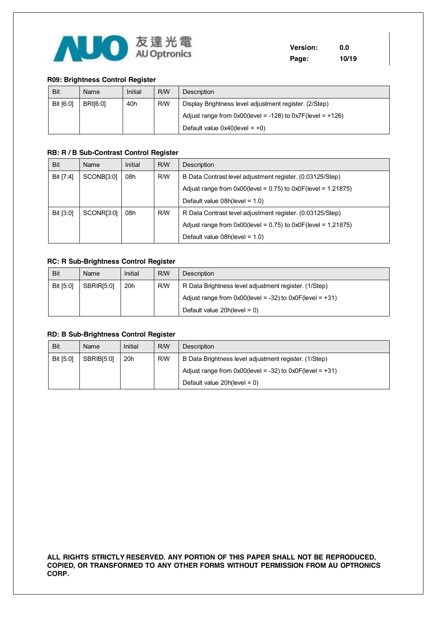

**Version: 0.0 Page: 10/19** 

#### **R09: Brightness Control Register**

| <b>Bit</b> | Name            | Initial | <b>RW</b> | <b>Description</b>                                               |  |
|------------|-----------------|---------|-----------|------------------------------------------------------------------|--|
| Bit [6:0]  | <b>BRI[6:0]</b> | 40h     | <b>RW</b> | Display Brightness level adjustment register. (2/Step)           |  |
|            |                 |         |           | Adjust range from $0x00$ (level = -128) to $0x7F$ (level = +126) |  |
|            |                 |         |           | Default value $0x40$ (level = +0)                                |  |

#### **RB: R / B Sub-Contrast Control Register**

| <b>Bit</b> | Name       | Initial | <b>RW</b> | Description                                                         |  |
|------------|------------|---------|-----------|---------------------------------------------------------------------|--|
| Bit [7:4]  | SCONB[3:0] | 08h     | <b>RM</b> | B Data Contrast level adjustment register. (0.03125/Step)           |  |
|            |            |         |           | Adjust range from $0x00$ (level = 0.75) to $0x0F$ (level = 1.21875) |  |
|            |            |         |           | Default value $08h(level = 1.0)$                                    |  |
| Bit [3:0]  | SCONR[3:0] | 08h     | <b>RM</b> | R Data Contrast level adjustment register. (0.03125/Step)           |  |
|            |            |         |           | Adjust range from $0x00$ (level = 0.75) to $0x0F$ (level = 1.21875) |  |
|            |            |         |           | Default value $08h(level = 1.0)$                                    |  |

#### **RC: R Sub-Brightness Control Register**

| <b>Bit</b> | Name              | Initial | <b>RM</b> | Description                                                    |  |
|------------|-------------------|---------|-----------|----------------------------------------------------------------|--|
| Bit [5:0]  | <b>SBRIRI5:01</b> | 20h     | <b>RM</b> | R Data Brightness level adjustment register. (1/Step)          |  |
|            |                   |         |           | Adjust range from $0x00$ (level = -32) to $0x0F$ (level = +31) |  |
|            |                   |         |           | Default value $20h(level = 0)$                                 |  |

#### **RD: B Sub-Brightness Control Register**

| <b>Bit</b> | Name       | Initial | <b>RW</b> | Description                                                    |  |
|------------|------------|---------|-----------|----------------------------------------------------------------|--|
| Bit [5:0]  | SBRIBI5:01 | 20h     | <b>RW</b> | B Data Brightness level adjustment register. (1/Step)          |  |
|            |            |         |           | Adjust range from $0x00$ (level = -32) to $0x0F$ (level = +31) |  |
|            |            |         |           | Default value $20h(level = 0)$                                 |  |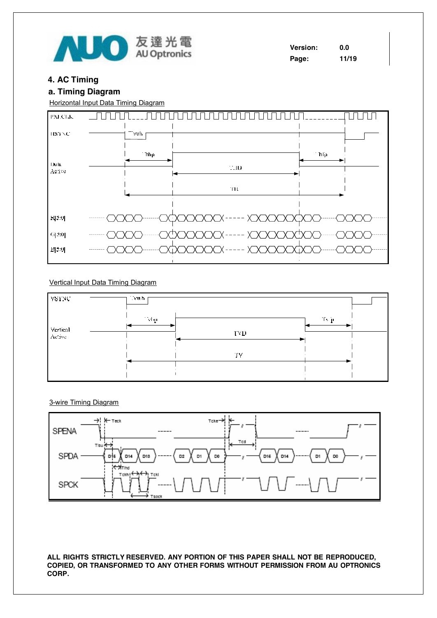

### **4 . A C T i m ing**

### **a. T i m ing Di a g r am**

Horizontal Input Data Timing Diagram



#### Vertical Input Data Timing Diagram



3-wire Timing Diagram

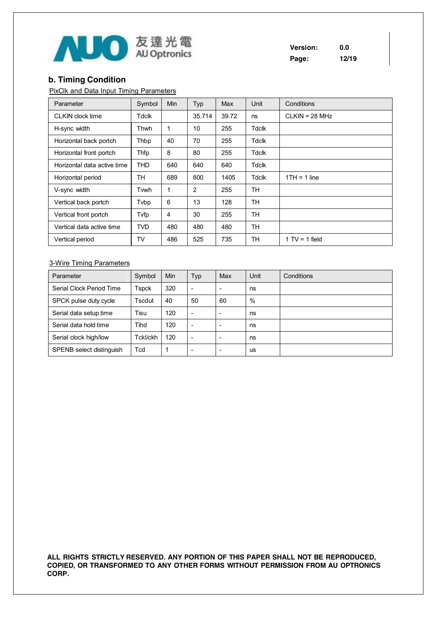

**Version: 0.0 Page: 12/19** 

## **b. Timing Condition**

PixClk and Data Input Timing Parameters

| Parameter                   | Symbol     | <b>Min</b> | Typ    | Max   | Unit         | Conditions       |
|-----------------------------|------------|------------|--------|-------|--------------|------------------|
| CLKIN clock time            | Tdclk      |            | 35.714 | 39.72 | ns           | $CLKIN = 28 MHz$ |
| H-sync width                | Thwh       | 1          | 10     | 255   | <b>Tdclk</b> |                  |
| Horizontal back portch      | Thbp       | 40         | 70     | 255   | Tdclk        |                  |
| Horizontal front portch     | Thfp       | 8          | 80     | 255   | Tdclk        |                  |
| Horizontal data active time | <b>THD</b> | 640        | 640    | 640   | <b>Tdclk</b> |                  |
| Horizontal period           | TН         | 689        | 800    | 1405  | Tdclk        | $1TH = 1$ line   |
| V-sync width                | Tvwh       | 1          | 2      | 255   | TH           |                  |
| Vertical back portch        | Tvbp       | 6          | 13     | 128   | <b>TH</b>    |                  |
| Vertical front portch       | Tvfp       | 4          | 30     | 255   | TН           |                  |
| Vertical data active time   | <b>TVD</b> | 480        | 480    | 480   | TH           |                  |
| Vertical period             | TV         | 486        | 525    | 735   | TH           | $1 TV = 1$ field |

### 3-Wire Timing Parameters

| Parameter                | Symbol   | <b>Min</b> | Typ | Max | Unit | Conditions |
|--------------------------|----------|------------|-----|-----|------|------------|
| Serial Clock Period Time | Tspck    | 320        | ۰   | -   | ns   |            |
| SPCK pulse duty cycle    | Tscdut   | 40         | 50  | 60  | $\%$ |            |
| Serial data setup time   | Tisu     | 120        | -   | -   | ns   |            |
| Serial data hold time    | Tihd     | 120        |     |     | ns   |            |
| Serial clock high/low    | Tckl/ckh | 120        | -   | -   | ns   |            |
| SPENB select distinguish | Tcd      |            |     |     | us   |            |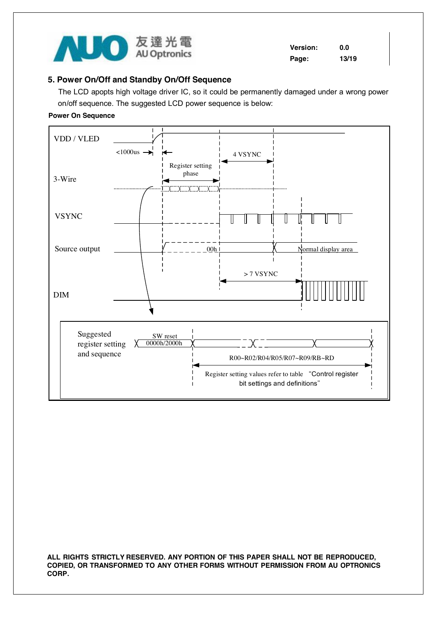

**Version: 0.0 Page: 13/19** 

### **5. Power On/Off and Standby On/Off Sequence**

The LCD apopts high voltage driver IC, so it could be permanently damaged under a wrong power on/off sequence. The suggested LCD power sequence is below:

### **Power On Sequence**

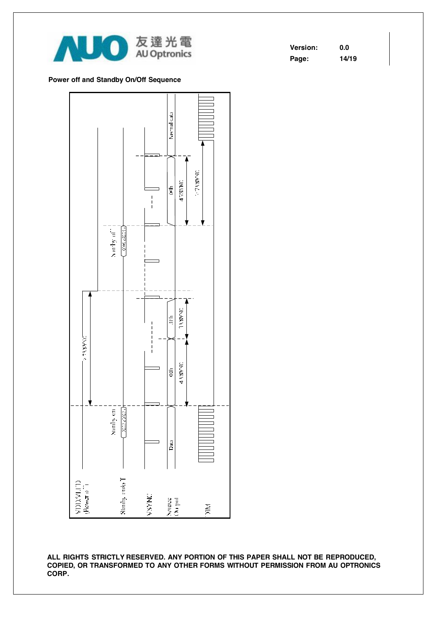

| <b>Version:</b> | 0.0   |
|-----------------|-------|
| Page:           | 14/19 |

#### **Power off and Standby On/Off Sequence**

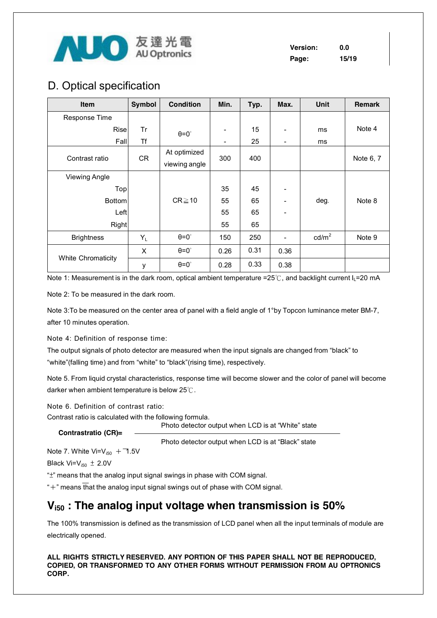

**Version: 0.0 Page: 15/19** 

## D. Optical specification

| Item                      | Symbol | <b>Condition</b>              | Min. | Typ. | Max. | <b>Unit</b>     | <b>Remark</b> |
|---------------------------|--------|-------------------------------|------|------|------|-----------------|---------------|
| Response Time             |        |                               |      |      |      |                 |               |
| Risel                     | Tr     | $\theta = 0^\circ$            | ۰    | 15   |      | ms              | Note 4        |
| Fall                      | Τf     |                               | ۰    | 25   | -    | ms              |               |
| Contrast ratio            | CR     | At optimized<br>viewing angle | 300  | 400  |      |                 | Note 6, 7     |
| <b>Viewing Angle</b>      |        |                               |      |      |      |                 |               |
| Top                       |        |                               | 35   | 45   |      |                 |               |
| <b>Bottom</b>             |        | $CR \ge 10$                   | 55   | 65   |      | deg.            | Note 8        |
| Left                      |        |                               | 55   | 65   |      |                 |               |
| Right                     |        |                               | 55   | 65   |      |                 |               |
| <b>Brightness</b>         | $Y_L$  | $\theta = 0^{\circ}$          | 150  | 250  |      | $\text{cd/m}^2$ | Note 9        |
|                           | X      | $\theta = 0^\circ$            | 0.26 | 0.31 | 0.36 |                 |               |
| <b>White Chromaticity</b> | у      | $\theta = 0^\circ$            | 0.28 | 0.33 | 0.38 |                 |               |

Note 1: Measurement is in the dark room, optical ambient temperature =25℃, and backlight current  $I_L$ =20 mA

Note 2: To be measured in the dark room.

Note 3: To be measured on the center area of panel with a field angle of 1°by Topcon luminance meter BM-7, after 10 minutes operation.

Note 4: Definition of response time:

The output signals of photo detector are measured when the input signals are changed from "black" to "white"(falling time) and from "white" to "black"(rising time), respectively.

Note 5. From liquid crystal characteristics, response time will become slower and the color of panel will become darker when ambient temperature is below 25℃.

Note 6. Definition of contrast ratio:

Contrast ratio is calculated with the following formula. Photo detector output when LCD is at "White" state

#### **Contrastratio (CR)=**

Photo detector output when LCD is at "Black" state

Note 7. White  $Vi=V_{150} + 1.5V$ 

Black  $Vi=V_{i50} \pm 2.0V$ 

"±" means that the analog input signal swings in phase with COM signal.

 $*+$ " means that the analog input signal swings out of phase with COM signal.

## **Vi50 : The analog input voltage when transmission is 50%**

The 100% transmission is defined as the transmission of LCD panel when all the input terminals of module are electrically opened.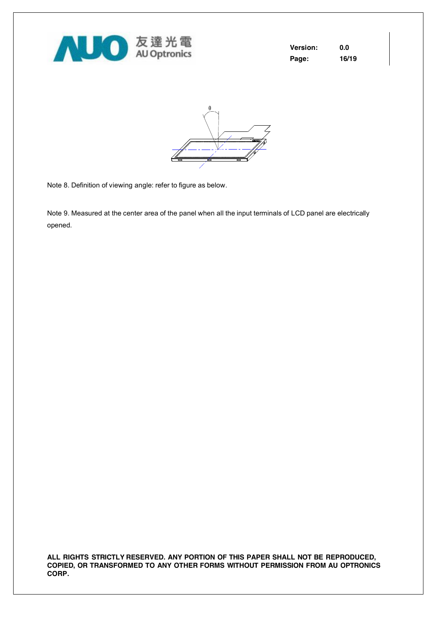

| <b>Version:</b> | 0.0   |
|-----------------|-------|
| Page:           | 16/19 |



Note 8. Definition of viewing angle: refer to figure as below.

Note 9. Measured at the center area of the panel when all the input terminals of LCD panel are electrically opened.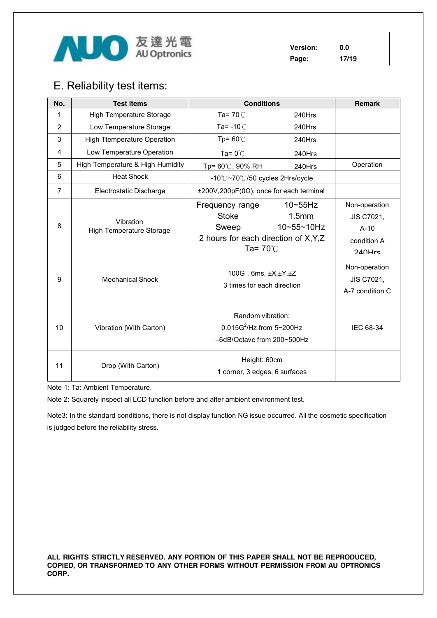

**Version: 0.0 Page: 17/19** 

## E. Reliability test items:

| No.            | <b>Test items</b>                                                       | <b>Conditions</b>                                                                                                                                            |                                     | Remark                                                                                                              |
|----------------|-------------------------------------------------------------------------|--------------------------------------------------------------------------------------------------------------------------------------------------------------|-------------------------------------|---------------------------------------------------------------------------------------------------------------------|
| 1              | High Temperature Storage                                                | Ta= $70^{\circ}$ C                                                                                                                                           | 240Hrs                              |                                                                                                                     |
| $\overline{2}$ | Low Temperature Storage                                                 | Ta= $-10^{\circ}$ C                                                                                                                                          | 240Hrs                              |                                                                                                                     |
| 3              | <b>High Ttemperature Operation</b>                                      | Tp= $60^{\circ}$ C                                                                                                                                           | 240Hrs                              |                                                                                                                     |
| 4              | Low Temperature Operation                                               | Ta= $0^{\circ}$ C                                                                                                                                            | 240Hrs                              |                                                                                                                     |
| 5              | High Temperature & High Humidity                                        | Tp= 60℃, 90% RH                                                                                                                                              | 240Hrs                              | Operation                                                                                                           |
| 6              | <b>Heat Shock</b>                                                       | -10°C~70°C/50 cycles 2Hrs/cycle                                                                                                                              |                                     |                                                                                                                     |
| $\overline{7}$ | Electrostatic Discharge                                                 | $±200V,200pF(0\Omega)$ , once for each terminal                                                                                                              |                                     |                                                                                                                     |
| 8<br>9         | Vibration<br><b>High Temperature Storage</b><br><b>Mechanical Shock</b> | Frequency range<br><b>Stoke</b><br>Sweep<br>2 hours for each direction of X, Y, Z<br>Ta= $70^{\circ}$ C<br>100G. 6ms, ±X,±Y,±Z<br>3 times for each direction | $10 - 55$ Hz<br>1.5mm<br>10~55~10Hz | Non-operation<br>JIS C7021,<br>$A-10$<br>condition A<br>$240$ Hre<br>Non-operation<br>JIS C7021,<br>A-7 condition C |
| 10             | Vibration (With Carton)                                                 | Random vibration:<br>$0.015G^2$ /Hz from 5~200Hz<br>-6dB/Octave from 200~500Hz                                                                               |                                     | IEC 68-34                                                                                                           |
| 11             | Drop (With Carton)                                                      | Height: 60cm<br>1 corner, 3 edges, 6 surfaces                                                                                                                |                                     |                                                                                                                     |

Note 1: Ta: Ambient Temperature.

Note 2: Squarely inspect all LCD function before and after ambient environment test.

Note3: In the standard conditions, there is not display function NG issue occurred. All the cosmetic specification is judged before the reliability stress.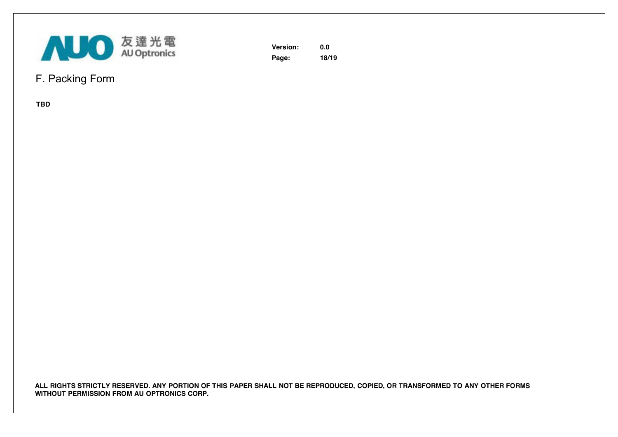

**Version: 0.0 Page: 18/19** 

## F. Packing Form

**TBD**